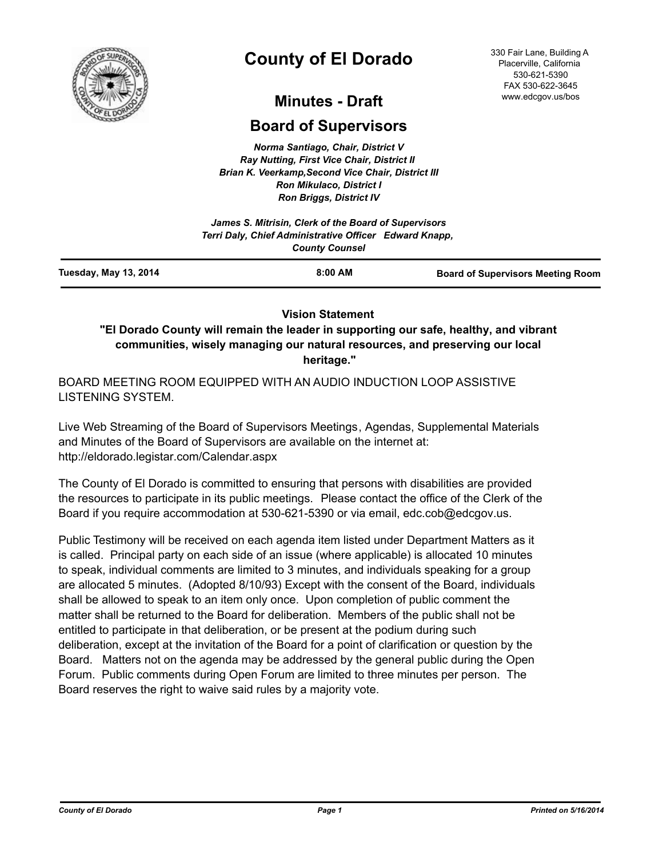

# **County of El Dorado**

330 Fair Lane, Building A Placerville, California 530-621-5390 FAX 530-622-3645 www.edcgov.us/bos

## **Minutes - Draft**

## **Board of Supervisors**

*Norma Santiago, Chair, District V Ray Nutting, First Vice Chair, District II Brian K. Veerkamp,Second Vice Chair, District III Ron Mikulaco, District I Ron Briggs, District IV*

|                       | James S. Mitrisin, Clerk of the Board of Supervisors<br>Terri Daly, Chief Administrative Officer Edward Knapp,<br><b>County Counsel</b> |                                          |  |
|-----------------------|-----------------------------------------------------------------------------------------------------------------------------------------|------------------------------------------|--|
| Tuesday, May 13, 2014 | 8:00 AM                                                                                                                                 | <b>Board of Supervisors Meeting Room</b> |  |

### **Vision Statement**

**"El Dorado County will remain the leader in supporting our safe, healthy, and vibrant communities, wisely managing our natural resources, and preserving our local heritage."**

BOARD MEETING ROOM EQUIPPED WITH AN AUDIO INDUCTION LOOP ASSISTIVE LISTENING SYSTEM.

Live Web Streaming of the Board of Supervisors Meetings, Agendas, Supplemental Materials and Minutes of the Board of Supervisors are available on the internet at: http://eldorado.legistar.com/Calendar.aspx

The County of El Dorado is committed to ensuring that persons with disabilities are provided the resources to participate in its public meetings. Please contact the office of the Clerk of the Board if you require accommodation at 530-621-5390 or via email, edc.cob@edcgov.us.

Public Testimony will be received on each agenda item listed under Department Matters as it is called. Principal party on each side of an issue (where applicable) is allocated 10 minutes to speak, individual comments are limited to 3 minutes, and individuals speaking for a group are allocated 5 minutes. (Adopted 8/10/93) Except with the consent of the Board, individuals shall be allowed to speak to an item only once. Upon completion of public comment the matter shall be returned to the Board for deliberation. Members of the public shall not be entitled to participate in that deliberation, or be present at the podium during such deliberation, except at the invitation of the Board for a point of clarification or question by the Board. Matters not on the agenda may be addressed by the general public during the Open Forum. Public comments during Open Forum are limited to three minutes per person. The Board reserves the right to waive said rules by a majority vote.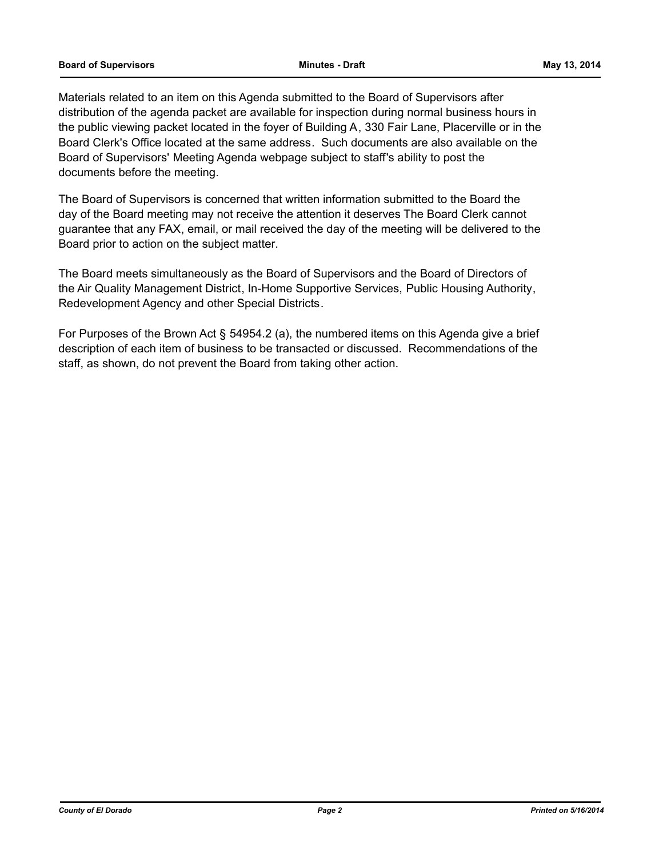#### **Board of Supervisors Minutes - Draft May 13, 2014**

Materials related to an item on this Agenda submitted to the Board of Supervisors after distribution of the agenda packet are available for inspection during normal business hours in the public viewing packet located in the foyer of Building A, 330 Fair Lane, Placerville or in the Board Clerk's Office located at the same address. Such documents are also available on the Board of Supervisors' Meeting Agenda webpage subject to staff's ability to post the documents before the meeting.

The Board of Supervisors is concerned that written information submitted to the Board the day of the Board meeting may not receive the attention it deserves The Board Clerk cannot guarantee that any FAX, email, or mail received the day of the meeting will be delivered to the Board prior to action on the subject matter.

The Board meets simultaneously as the Board of Supervisors and the Board of Directors of the Air Quality Management District, In-Home Supportive Services, Public Housing Authority, Redevelopment Agency and other Special Districts.

For Purposes of the Brown Act § 54954.2 (a), the numbered items on this Agenda give a brief description of each item of business to be transacted or discussed. Recommendations of the staff, as shown, do not prevent the Board from taking other action.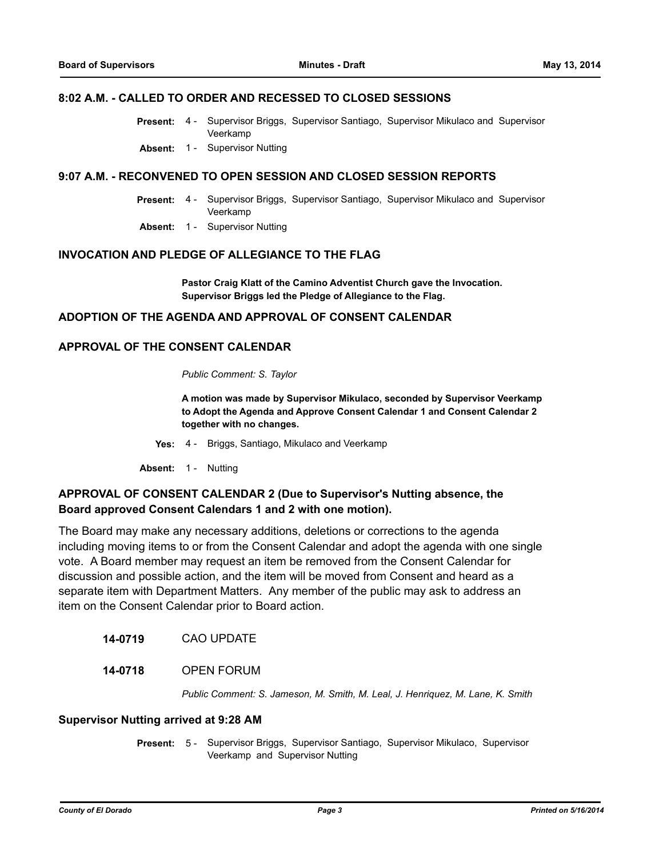### **8:02 A.M. - CALLED TO ORDER AND RECESSED TO CLOSED SESSIONS**

- Supervisor Briggs, Supervisor Santiago, Supervisor Mikulaco and Supervisor Veerkamp **Present:** 4 -
- **Absent:** 1 Supervisor Nutting

### **9:07 A.M. - RECONVENED TO OPEN SESSION AND CLOSED SESSION REPORTS**

- Present: 4 Supervisor Briggs, Supervisor Santiago, Supervisor Mikulaco and Supervisor Veerkamp
- **Absent:** 1 Supervisor Nutting

### **INVOCATION AND PLEDGE OF ALLEGIANCE TO THE FLAG**

**Pastor Craig Klatt of the Camino Adventist Church gave the Invocation. Supervisor Briggs led the Pledge of Allegiance to the Flag.**

### **ADOPTION OF THE AGENDA AND APPROVAL OF CONSENT CALENDAR**

### **APPROVAL OF THE CONSENT CALENDAR**

*Public Comment: S. Taylor*

**A motion was made by Supervisor Mikulaco, seconded by Supervisor Veerkamp to Adopt the Agenda and Approve Consent Calendar 1 and Consent Calendar 2 together with no changes.**

**Yes:** 4 - Briggs, Santiago, Mikulaco and Veerkamp

**Absent:** 1 - Nutting

### **APPROVAL OF CONSENT CALENDAR 2 (Due to Supervisor's Nutting absence, the Board approved Consent Calendars 1 and 2 with one motion).**

The Board may make any necessary additions, deletions or corrections to the agenda including moving items to or from the Consent Calendar and adopt the agenda with one single vote. A Board member may request an item be removed from the Consent Calendar for discussion and possible action, and the item will be moved from Consent and heard as a separate item with Department Matters. Any member of the public may ask to address an item on the Consent Calendar prior to Board action.

**14-0719** CAO UPDATE

### **14-0718** OPEN FORUM

*Public Comment: S. Jameson, M. Smith, M. Leal, J. Henriquez, M. Lane, K. Smith*

#### **Supervisor Nutting arrived at 9:28 AM**

Present: 5 - Supervisor Briggs, Supervisor Santiago, Supervisor Mikulaco, Supervisor Veerkamp and Supervisor Nutting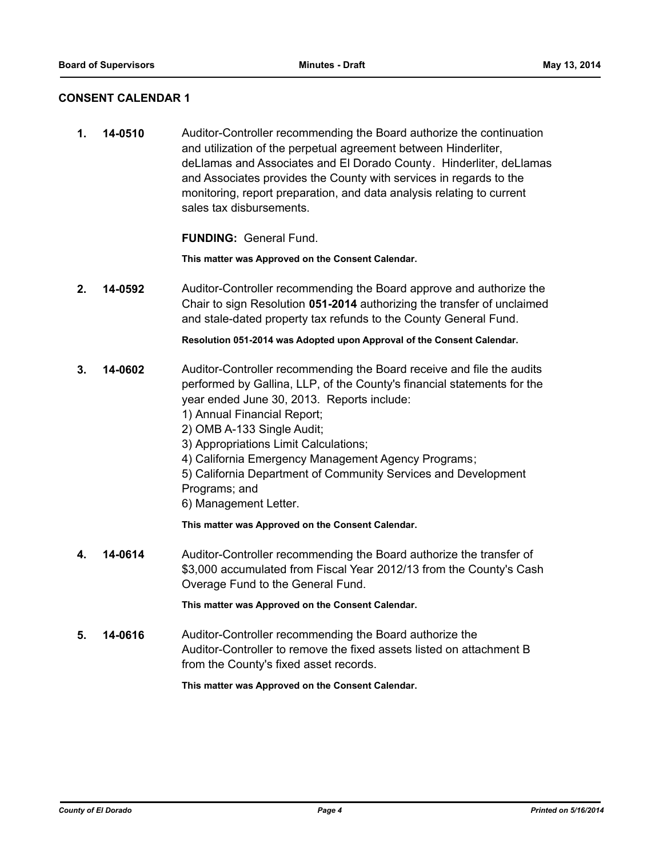### **CONSENT CALENDAR 1**

**1. 14-0510** Auditor-Controller recommending the Board authorize the continuation and utilization of the perpetual agreement between Hinderliter, deLlamas and Associates and El Dorado County. Hinderliter, deLlamas and Associates provides the County with services in regards to the monitoring, report preparation, and data analysis relating to current sales tax disbursements.

**FUNDING:** General Fund.

**This matter was Approved on the Consent Calendar.**

**2. 14-0592** Auditor-Controller recommending the Board approve and authorize the Chair to sign Resolution **051-2014** authorizing the transfer of unclaimed and stale-dated property tax refunds to the County General Fund.

**Resolution 051-2014 was Adopted upon Approval of the Consent Calendar.**

- **3. 14-0602** Auditor-Controller recommending the Board receive and file the audits performed by Gallina, LLP, of the County's financial statements for the year ended June 30, 2013. Reports include:
	- 1) Annual Financial Report;
	- 2) OMB A-133 Single Audit;
	- 3) Appropriations Limit Calculations;
	- 4) California Emergency Management Agency Programs;
	- 5) California Department of Community Services and Development Programs; and
	- 6) Management Letter.

**This matter was Approved on the Consent Calendar.**

**4. 14-0614** Auditor-Controller recommending the Board authorize the transfer of \$3,000 accumulated from Fiscal Year 2012/13 from the County's Cash Overage Fund to the General Fund.

**This matter was Approved on the Consent Calendar.**

**5. 14-0616** Auditor-Controller recommending the Board authorize the Auditor-Controller to remove the fixed assets listed on attachment B from the County's fixed asset records.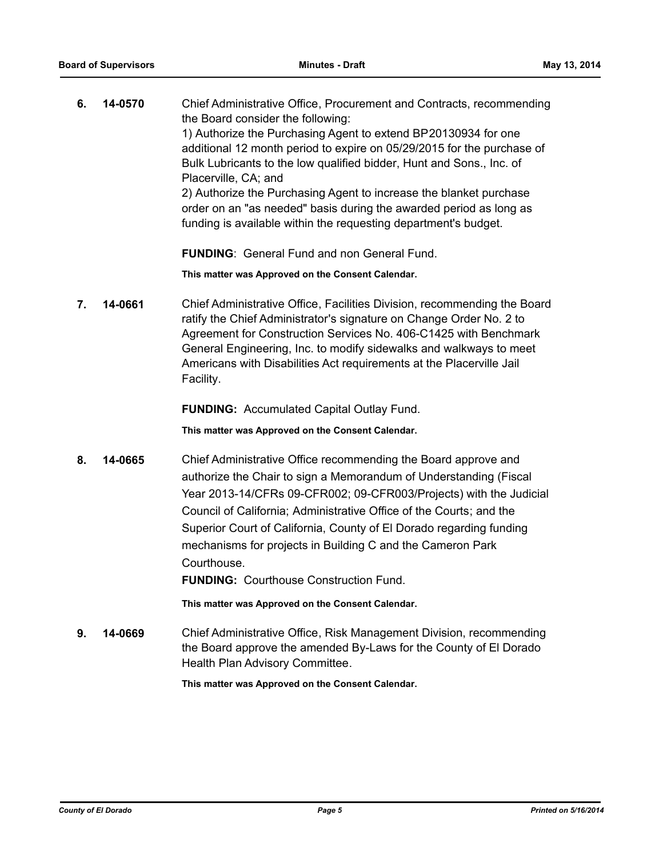| 6. | 14-0570 | Chief Administrative Office, Procurement and Contracts, recommending<br>the Board consider the following:<br>1) Authorize the Purchasing Agent to extend BP20130934 for one<br>additional 12 month period to expire on 05/29/2015 for the purchase of<br>Bulk Lubricants to the low qualified bidder, Hunt and Sons., Inc. of |
|----|---------|-------------------------------------------------------------------------------------------------------------------------------------------------------------------------------------------------------------------------------------------------------------------------------------------------------------------------------|
|    |         | Placerville, CA; and<br>2) Authorize the Purchasing Agent to increase the blanket purchase<br>order on an "as needed" basis during the awarded period as long as<br>funding is available within the requesting department's budget.                                                                                           |

**FUNDING**: General Fund and non General Fund.

**This matter was Approved on the Consent Calendar.**

**7. 14-0661** Chief Administrative Office, Facilities Division, recommending the Board ratify the Chief Administrator's signature on Change Order No. 2 to Agreement for Construction Services No. 406-C1425 with Benchmark General Engineering, Inc. to modify sidewalks and walkways to meet Americans with Disabilities Act requirements at the Placerville Jail Facility.

**FUNDING:** Accumulated Capital Outlay Fund.

**This matter was Approved on the Consent Calendar.**

**8. 14-0665** Chief Administrative Office recommending the Board approve and authorize the Chair to sign a Memorandum of Understanding (Fiscal Year 2013-14/CFRs 09-CFR002; 09-CFR003/Projects) with the Judicial Council of California; Administrative Office of the Courts; and the Superior Court of California, County of El Dorado regarding funding mechanisms for projects in Building C and the Cameron Park Courthouse.

**FUNDING:** Courthouse Construction Fund.

**This matter was Approved on the Consent Calendar.**

**9. 14-0669** Chief Administrative Office, Risk Management Division, recommending the Board approve the amended By-Laws for the County of El Dorado Health Plan Advisory Committee.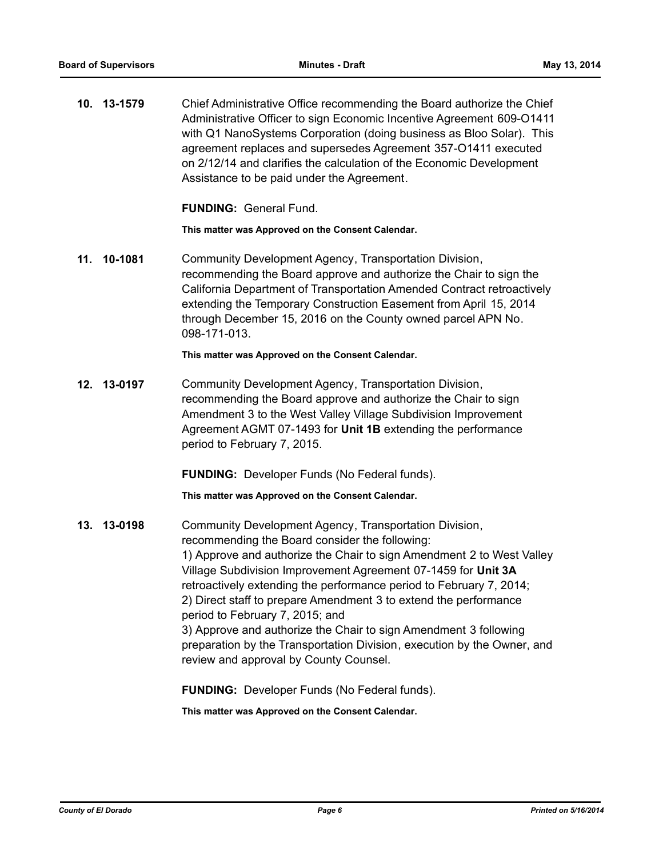|     | 10. 13-1579 | Chief Administrative Office recommending the Board authorize the Chief<br>Administrative Officer to sign Economic Incentive Agreement 609-O1411<br>with Q1 NanoSystems Corporation (doing business as Bloo Solar). This<br>agreement replaces and supersedes Agreement 357-O1411 executed<br>on 2/12/14 and clarifies the calculation of the Economic Development<br>Assistance to be paid under the Agreement.                                                                                                                                                                                                           |
|-----|-------------|---------------------------------------------------------------------------------------------------------------------------------------------------------------------------------------------------------------------------------------------------------------------------------------------------------------------------------------------------------------------------------------------------------------------------------------------------------------------------------------------------------------------------------------------------------------------------------------------------------------------------|
|     |             | <b>FUNDING: General Fund.</b>                                                                                                                                                                                                                                                                                                                                                                                                                                                                                                                                                                                             |
|     |             | This matter was Approved on the Consent Calendar.                                                                                                                                                                                                                                                                                                                                                                                                                                                                                                                                                                         |
| 11. | 10-1081     | Community Development Agency, Transportation Division,<br>recommending the Board approve and authorize the Chair to sign the<br>California Department of Transportation Amended Contract retroactively<br>extending the Temporary Construction Easement from April 15, 2014<br>through December 15, 2016 on the County owned parcel APN No.<br>098-171-013.                                                                                                                                                                                                                                                               |
|     |             | This matter was Approved on the Consent Calendar.                                                                                                                                                                                                                                                                                                                                                                                                                                                                                                                                                                         |
|     | 12. 13-0197 | Community Development Agency, Transportation Division,<br>recommending the Board approve and authorize the Chair to sign<br>Amendment 3 to the West Valley Village Subdivision Improvement<br>Agreement AGMT 07-1493 for Unit 1B extending the performance<br>period to February 7, 2015.                                                                                                                                                                                                                                                                                                                                 |
|     |             | <b>FUNDING:</b> Developer Funds (No Federal funds).                                                                                                                                                                                                                                                                                                                                                                                                                                                                                                                                                                       |
|     |             | This matter was Approved on the Consent Calendar.                                                                                                                                                                                                                                                                                                                                                                                                                                                                                                                                                                         |
|     | 13. 13-0198 | Community Development Agency, Transportation Division,<br>recommending the Board consider the following:<br>1) Approve and authorize the Chair to sign Amendment 2 to West Valley<br>Village Subdivision Improvement Agreement 07-1459 for Unit 3A<br>retroactively extending the performance period to February 7, 2014;<br>2) Direct staff to prepare Amendment 3 to extend the performance<br>period to February 7, 2015; and<br>3) Approve and authorize the Chair to sign Amendment 3 following<br>preparation by the Transportation Division, execution by the Owner, and<br>review and approval by County Counsel. |
|     |             |                                                                                                                                                                                                                                                                                                                                                                                                                                                                                                                                                                                                                           |

**FUNDING:** Developer Funds (No Federal funds).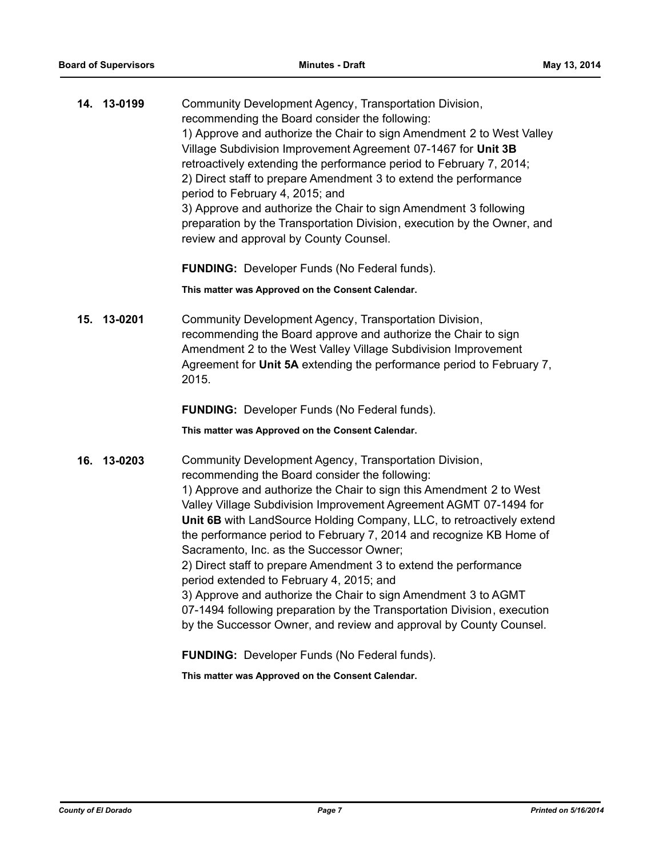| Community Development Agency, Transportation Division,<br>14. 13-0199<br>recommending the Board consider the following: |                                                                         |
|-------------------------------------------------------------------------------------------------------------------------|-------------------------------------------------------------------------|
|                                                                                                                         | 1) Approve and authorize the Chair to sign Amendment 2 to West Valley   |
|                                                                                                                         | Village Subdivision Improvement Agreement 07-1467 for Unit 3B           |
|                                                                                                                         | retroactively extending the performance period to February 7, 2014;     |
|                                                                                                                         | 2) Direct staff to prepare Amendment 3 to extend the performance        |
| period to February 4, 2015; and                                                                                         |                                                                         |
|                                                                                                                         | 3) Approve and authorize the Chair to sign Amendment 3 following        |
| review and approval by County Counsel.                                                                                  | preparation by the Transportation Division, execution by the Owner, and |

**FUNDING:** Developer Funds (No Federal funds).

**This matter was Approved on the Consent Calendar.**

**15. 13-0201** Community Development Agency, Transportation Division, recommending the Board approve and authorize the Chair to sign Amendment 2 to the West Valley Village Subdivision Improvement Agreement for **Unit 5A** extending the performance period to February 7, 2015.

**FUNDING:** Developer Funds (No Federal funds).

**This matter was Approved on the Consent Calendar.**

**16. 13-0203** Community Development Agency, Transportation Division, recommending the Board consider the following: 1) Approve and authorize the Chair to sign this Amendment 2 to West Valley Village Subdivision Improvement Agreement AGMT 07-1494 for **Unit 6B** with LandSource Holding Company, LLC, to retroactively extend the performance period to February 7, 2014 and recognize KB Home of Sacramento, Inc. as the Successor Owner; 2) Direct staff to prepare Amendment 3 to extend the performance period extended to February 4, 2015; and 3) Approve and authorize the Chair to sign Amendment 3 to AGMT 07-1494 following preparation by the Transportation Division, execution by the Successor Owner, and review and approval by County Counsel.

**FUNDING:** Developer Funds (No Federal funds).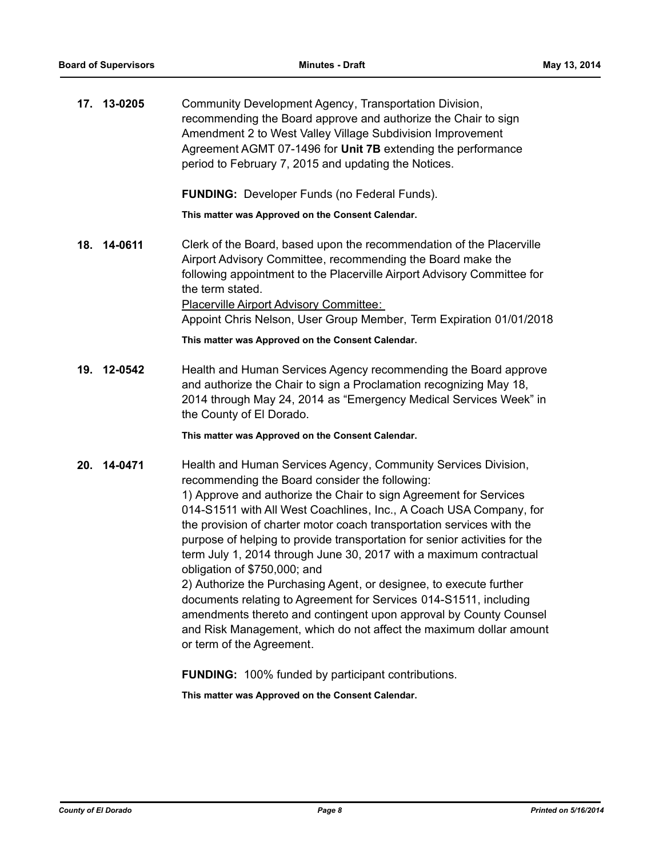|     | 17. 13-0205 | Community Development Agency, Transportation Division,<br>recommending the Board approve and authorize the Chair to sign<br>Amendment 2 to West Valley Village Subdivision Improvement<br>Agreement AGMT 07-1496 for Unit 7B extending the performance<br>period to February 7, 2015 and updating the Notices.                                                                                                                                                                                                                                                                                                                                                                                                                                                                                                                              |
|-----|-------------|---------------------------------------------------------------------------------------------------------------------------------------------------------------------------------------------------------------------------------------------------------------------------------------------------------------------------------------------------------------------------------------------------------------------------------------------------------------------------------------------------------------------------------------------------------------------------------------------------------------------------------------------------------------------------------------------------------------------------------------------------------------------------------------------------------------------------------------------|
|     |             | <b>FUNDING:</b> Developer Funds (no Federal Funds).                                                                                                                                                                                                                                                                                                                                                                                                                                                                                                                                                                                                                                                                                                                                                                                         |
|     |             | This matter was Approved on the Consent Calendar.                                                                                                                                                                                                                                                                                                                                                                                                                                                                                                                                                                                                                                                                                                                                                                                           |
| 18. | 14-0611     | Clerk of the Board, based upon the recommendation of the Placerville<br>Airport Advisory Committee, recommending the Board make the<br>following appointment to the Placerville Airport Advisory Committee for<br>the term stated.<br><b>Placerville Airport Advisory Committee:</b><br>Appoint Chris Nelson, User Group Member, Term Expiration 01/01/2018                                                                                                                                                                                                                                                                                                                                                                                                                                                                                 |
|     |             | This matter was Approved on the Consent Calendar.                                                                                                                                                                                                                                                                                                                                                                                                                                                                                                                                                                                                                                                                                                                                                                                           |
| 19. | 12-0542     | Health and Human Services Agency recommending the Board approve<br>and authorize the Chair to sign a Proclamation recognizing May 18,<br>2014 through May 24, 2014 as "Emergency Medical Services Week" in<br>the County of El Dorado.                                                                                                                                                                                                                                                                                                                                                                                                                                                                                                                                                                                                      |
|     |             | This matter was Approved on the Consent Calendar.                                                                                                                                                                                                                                                                                                                                                                                                                                                                                                                                                                                                                                                                                                                                                                                           |
|     | 20. 14-0471 | Health and Human Services Agency, Community Services Division,<br>recommending the Board consider the following:<br>1) Approve and authorize the Chair to sign Agreement for Services<br>014-S1511 with All West Coachlines, Inc., A Coach USA Company, for<br>the provision of charter motor coach transportation services with the<br>purpose of helping to provide transportation for senior activities for the<br>term July 1, 2014 through June 30, 2017 with a maximum contractual<br>obligation of \$750,000; and<br>2) Authorize the Purchasing Agent, or designee, to execute further<br>documents relating to Agreement for Services 014-S1511, including<br>amendments thereto and contingent upon approval by County Counsel<br>and Risk Management, which do not affect the maximum dollar amount<br>or term of the Agreement. |

**FUNDING:** 100% funded by participant contributions.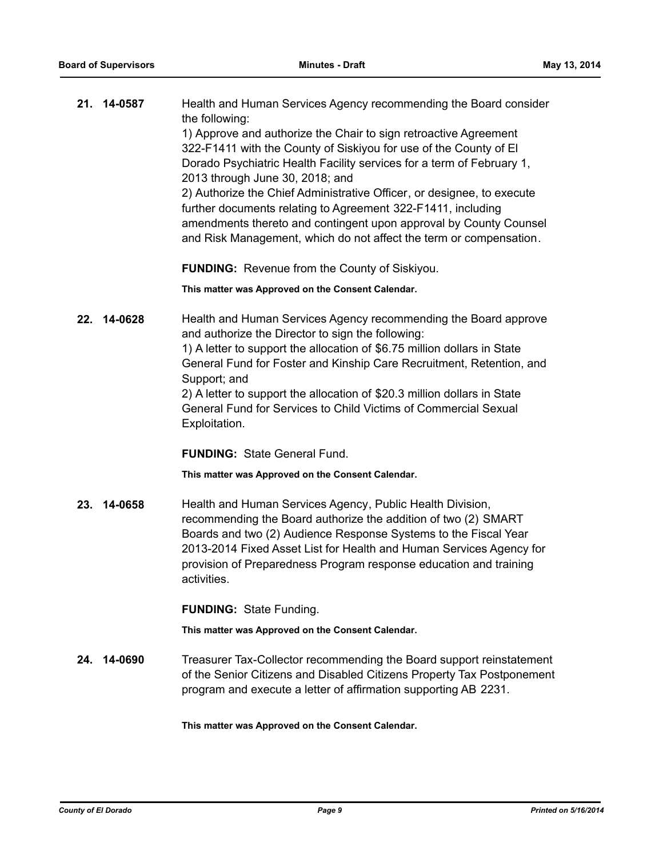|     | 21. 14-0587 | Health and Human Services Agency recommending the Board consider                                                            |
|-----|-------------|-----------------------------------------------------------------------------------------------------------------------------|
|     |             | the following:<br>1) Approve and authorize the Chair to sign retroactive Agreement                                          |
|     |             | 322-F1411 with the County of Siskiyou for use of the County of El                                                           |
|     |             | Dorado Psychiatric Health Facility services for a term of February 1,                                                       |
|     |             | 2013 through June 30, 2018; and                                                                                             |
|     |             | 2) Authorize the Chief Administrative Officer, or designee, to execute                                                      |
|     |             | further documents relating to Agreement 322-F1411, including                                                                |
|     |             | amendments thereto and contingent upon approval by County Counsel                                                           |
|     |             | and Risk Management, which do not affect the term or compensation.                                                          |
|     |             | <b>FUNDING:</b> Revenue from the County of Siskiyou.                                                                        |
|     |             | This matter was Approved on the Consent Calendar.                                                                           |
|     | 22. 14-0628 | Health and Human Services Agency recommending the Board approve                                                             |
|     |             | and authorize the Director to sign the following:                                                                           |
|     |             | 1) A letter to support the allocation of \$6.75 million dollars in State                                                    |
|     |             | General Fund for Foster and Kinship Care Recruitment, Retention, and<br>Support; and                                        |
|     |             | 2) A letter to support the allocation of \$20.3 million dollars in State                                                    |
|     |             | General Fund for Services to Child Victims of Commercial Sexual                                                             |
|     |             | Exploitation.                                                                                                               |
|     |             | <b>FUNDING: State General Fund.</b>                                                                                         |
|     |             |                                                                                                                             |
|     |             | This matter was Approved on the Consent Calendar.                                                                           |
|     |             |                                                                                                                             |
| 23. | 14-0658     | Health and Human Services Agency, Public Health Division,<br>recommending the Board authorize the addition of two (2) SMART |
|     |             | Boards and two (2) Audience Response Systems to the Fiscal Year                                                             |
|     |             | 2013-2014 Fixed Asset List for Health and Human Services Agency for                                                         |
|     |             | provision of Preparedness Program response education and training                                                           |
|     |             | activities.                                                                                                                 |
|     |             | <b>FUNDING: State Funding.</b>                                                                                              |
|     |             | This matter was Approved on the Consent Calendar.                                                                           |
|     | 24. 14-0690 | Treasurer Tax-Collector recommending the Board support reinstatement                                                        |
|     |             | of the Senior Citizens and Disabled Citizens Property Tax Postponement                                                      |
|     |             | program and execute a letter of affirmation supporting AB 2231.                                                             |
|     |             | This matter was Approved on the Consent Calendar.                                                                           |
|     |             |                                                                                                                             |
|     |             |                                                                                                                             |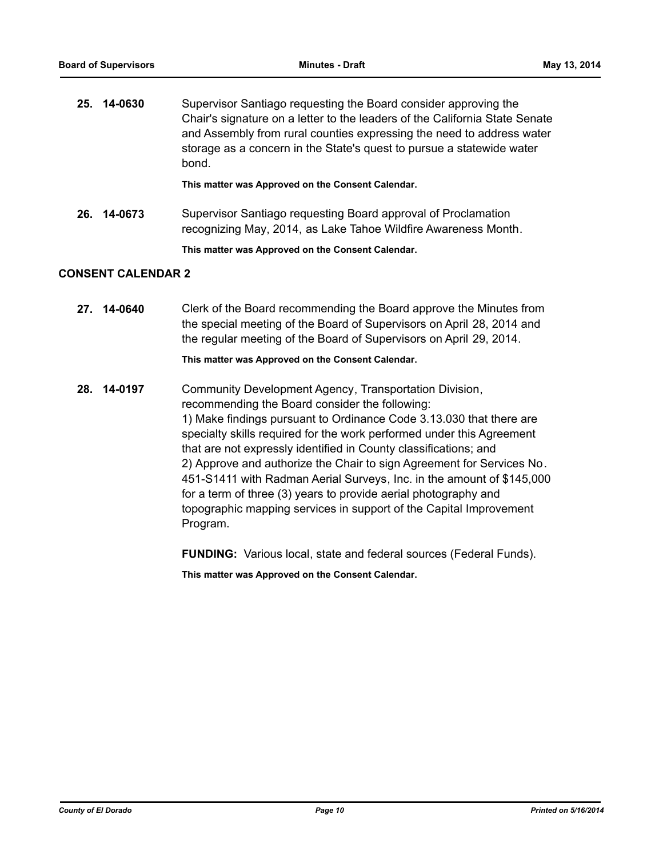| 25. 14-0630 | Supervisor Santiago requesting the Board consider approving the<br>Chair's signature on a letter to the leaders of the California State Senate<br>and Assembly from rural counties expressing the need to address water<br>storage as a concern in the State's quest to pursue a statewide water<br>bond. |
|-------------|-----------------------------------------------------------------------------------------------------------------------------------------------------------------------------------------------------------------------------------------------------------------------------------------------------------|
|             | This matter was Approved on the Consent Calendar.                                                                                                                                                                                                                                                         |

**26. 14-0673** Supervisor Santiago requesting Board approval of Proclamation recognizing May, 2014, as Lake Tahoe Wildfire Awareness Month.

**This matter was Approved on the Consent Calendar.**

### **CONSENT CALENDAR 2**

**27. 14-0640** Clerk of the Board recommending the Board approve the Minutes from the special meeting of the Board of Supervisors on April 28, 2014 and the regular meeting of the Board of Supervisors on April 29, 2014.

### **This matter was Approved on the Consent Calendar.**

**28. 14-0197** Community Development Agency, Transportation Division, recommending the Board consider the following: 1) Make findings pursuant to Ordinance Code 3.13.030 that there are specialty skills required for the work performed under this Agreement that are not expressly identified in County classifications; and 2) Approve and authorize the Chair to sign Agreement for Services No. 451-S1411 with Radman Aerial Surveys, Inc. in the amount of \$145,000 for a term of three (3) years to provide aerial photography and topographic mapping services in support of the Capital Improvement Program.

**FUNDING:** Various local, state and federal sources (Federal Funds).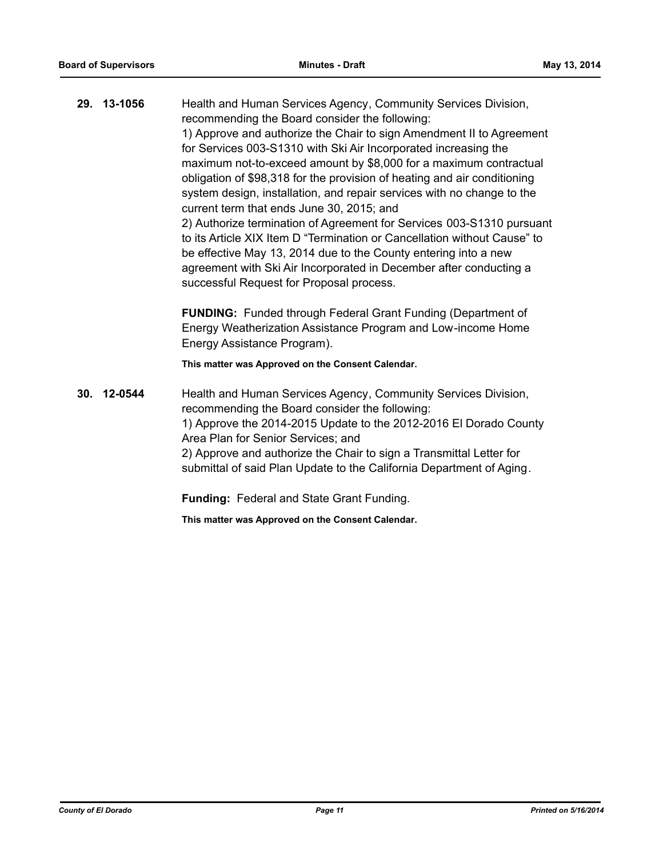**29. 13-1056** Health and Human Services Agency, Community Services Division, recommending the Board consider the following: 1) Approve and authorize the Chair to sign Amendment II to Agreement for Services 003-S1310 with Ski Air Incorporated increasing the maximum not-to-exceed amount by \$8,000 for a maximum contractual obligation of \$98,318 for the provision of heating and air conditioning system design, installation, and repair services with no change to the current term that ends June 30, 2015; and 2) Authorize termination of Agreement for Services 003-S1310 pursuant to its Article XIX Item D "Termination or Cancellation without Cause" to be effective May 13, 2014 due to the County entering into a new agreement with Ski Air Incorporated in December after conducting a successful Request for Proposal process. **FUNDING:** Funded through Federal Grant Funding (Department of Energy Weatherization Assistance Program and Low-income Home Energy Assistance Program).

**This matter was Approved on the Consent Calendar.**

**30. 12-0544** Health and Human Services Agency, Community Services Division, recommending the Board consider the following: 1) Approve the 2014-2015 Update to the 2012-2016 El Dorado County Area Plan for Senior Services; and 2) Approve and authorize the Chair to sign a Transmittal Letter for submittal of said Plan Update to the California Department of Aging.

**Funding:** Federal and State Grant Funding.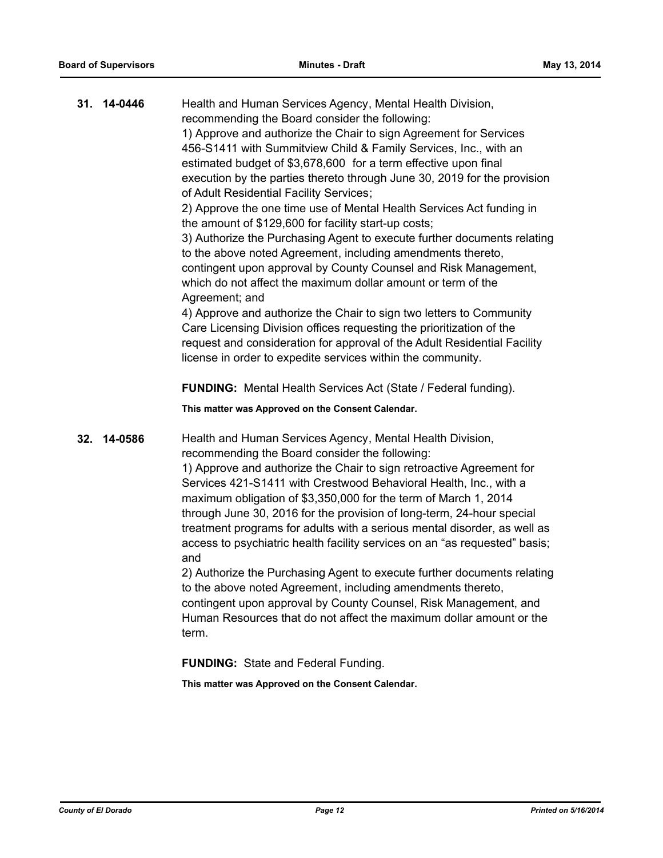| 31. | 14-0446 | Health and Human Services Agency, Mental Health Division,<br>recommending the Board consider the following:<br>1) Approve and authorize the Chair to sign Agreement for Services<br>456-S1411 with Summitview Child & Family Services, Inc., with an<br>estimated budget of \$3,678,600 for a term effective upon final<br>execution by the parties thereto through June 30, 2019 for the provision<br>of Adult Residential Facility Services;<br>2) Approve the one time use of Mental Health Services Act funding in<br>the amount of \$129,600 for facility start-up costs;<br>3) Authorize the Purchasing Agent to execute further documents relating<br>to the above noted Agreement, including amendments thereto,<br>contingent upon approval by County Counsel and Risk Management,<br>which do not affect the maximum dollar amount or term of the<br>Agreement; and<br>4) Approve and authorize the Chair to sign two letters to Community<br>Care Licensing Division offices requesting the prioritization of the<br>request and consideration for approval of the Adult Residential Facility<br>license in order to expedite services within the community. |
|-----|---------|-------------------------------------------------------------------------------------------------------------------------------------------------------------------------------------------------------------------------------------------------------------------------------------------------------------------------------------------------------------------------------------------------------------------------------------------------------------------------------------------------------------------------------------------------------------------------------------------------------------------------------------------------------------------------------------------------------------------------------------------------------------------------------------------------------------------------------------------------------------------------------------------------------------------------------------------------------------------------------------------------------------------------------------------------------------------------------------------------------------------------------------------------------------------------|
|     |         | FUNDING: Mental Health Services Act (State / Federal funding).<br>This matter was Approved on the Consent Calendar.                                                                                                                                                                                                                                                                                                                                                                                                                                                                                                                                                                                                                                                                                                                                                                                                                                                                                                                                                                                                                                                     |
| 32. | 14-0586 | Health and Human Services Agency, Mental Health Division,<br>recommending the Board consider the following:<br>1) Approve and authorize the Chair to sign retroactive Agreement for<br>Services 421-S1411 with Crestwood Behavioral Health, Inc., with a<br>maximum obligation of \$3,350,000 for the term of March 1, 2014<br>through June 30, 2016 for the provision of long-term, 24-hour special<br>treatment programs for adults with a serious mental disorder, as well as<br>access to psychiatric health facility services on an "as requested" basis;<br>and<br>2) Authorize the Purchasing Agent to execute further documents relating<br>to the above noted Agreement, including amendments thereto,<br>contingent upon approval by County Counsel, Risk Management, and<br>Human Resources that do not affect the maximum dollar amount or the<br>term.                                                                                                                                                                                                                                                                                                     |

**FUNDING:** State and Federal Funding.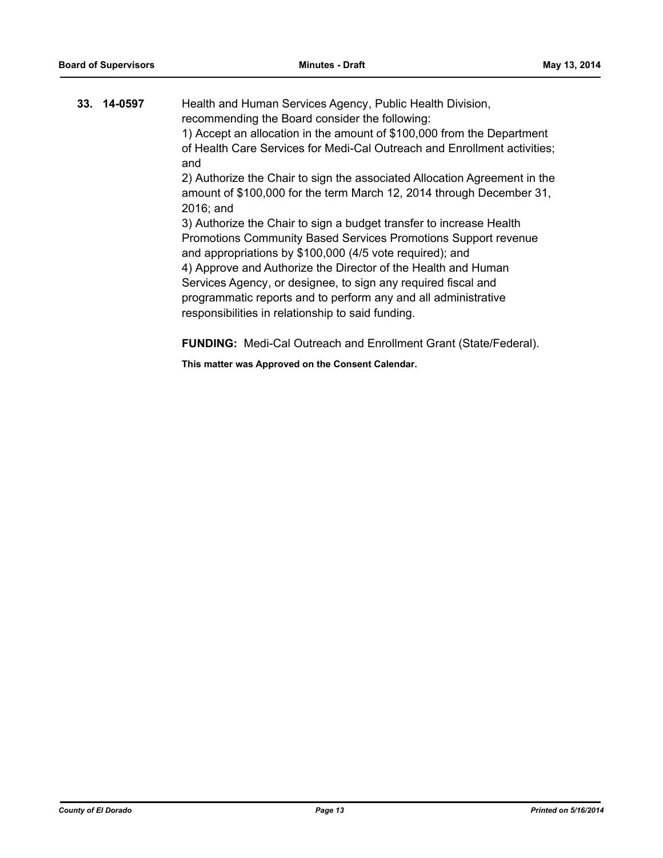| 33. 14-0597 | Health and Human Services Agency, Public Health Division,<br>recommending the Board consider the following:                                                                                                                                                                                                                                                                                                                                                |
|-------------|------------------------------------------------------------------------------------------------------------------------------------------------------------------------------------------------------------------------------------------------------------------------------------------------------------------------------------------------------------------------------------------------------------------------------------------------------------|
|             | 1) Accept an allocation in the amount of \$100,000 from the Department<br>of Health Care Services for Medi-Cal Outreach and Enrollment activities;                                                                                                                                                                                                                                                                                                         |
|             | and<br>2) Authorize the Chair to sign the associated Allocation Agreement in the<br>amount of \$100,000 for the term March 12, 2014 through December 31,<br>2016; and                                                                                                                                                                                                                                                                                      |
|             | 3) Authorize the Chair to sign a budget transfer to increase Health<br>Promotions Community Based Services Promotions Support revenue<br>and appropriations by \$100,000 (4/5 vote required); and<br>4) Approve and Authorize the Director of the Health and Human<br>Services Agency, or designee, to sign any required fiscal and<br>programmatic reports and to perform any and all administrative<br>responsibilities in relationship to said funding. |
|             | <b>FUNDING:</b> Medi-Cal Outreach and Enrollment Grant (State/Federal).                                                                                                                                                                                                                                                                                                                                                                                    |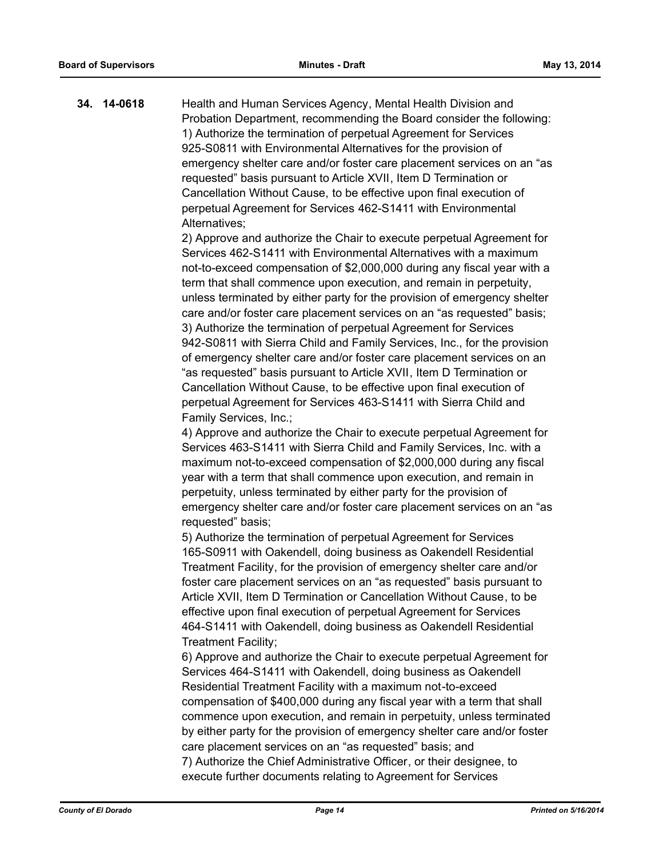**34. 14-0618** Health and Human Services Agency, Mental Health Division and Probation Department, recommending the Board consider the following: 1) Authorize the termination of perpetual Agreement for Services 925-S0811 with Environmental Alternatives for the provision of emergency shelter care and/or foster care placement services on an "as requested" basis pursuant to Article XVII, Item D Termination or Cancellation Without Cause, to be effective upon final execution of perpetual Agreement for Services 462-S1411 with Environmental Alternatives;

2) Approve and authorize the Chair to execute perpetual Agreement for Services 462-S1411 with Environmental Alternatives with a maximum not-to-exceed compensation of \$2,000,000 during any fiscal year with a term that shall commence upon execution, and remain in perpetuity, unless terminated by either party for the provision of emergency shelter care and/or foster care placement services on an "as requested" basis; 3) Authorize the termination of perpetual Agreement for Services 942-S0811 with Sierra Child and Family Services, Inc., for the provision of emergency shelter care and/or foster care placement services on an "as requested" basis pursuant to Article XVII, Item D Termination or Cancellation Without Cause, to be effective upon final execution of perpetual Agreement for Services 463-S1411 with Sierra Child and Family Services, Inc.;

4) Approve and authorize the Chair to execute perpetual Agreement for Services 463-S1411 with Sierra Child and Family Services, Inc. with a maximum not-to-exceed compensation of \$2,000,000 during any fiscal year with a term that shall commence upon execution, and remain in perpetuity, unless terminated by either party for the provision of emergency shelter care and/or foster care placement services on an "as requested" basis;

5) Authorize the termination of perpetual Agreement for Services 165-S0911 with Oakendell, doing business as Oakendell Residential Treatment Facility, for the provision of emergency shelter care and/or foster care placement services on an "as requested" basis pursuant to Article XVII, Item D Termination or Cancellation Without Cause, to be effective upon final execution of perpetual Agreement for Services 464-S1411 with Oakendell, doing business as Oakendell Residential Treatment Facility;

6) Approve and authorize the Chair to execute perpetual Agreement for Services 464-S1411 with Oakendell, doing business as Oakendell Residential Treatment Facility with a maximum not-to-exceed compensation of \$400,000 during any fiscal year with a term that shall commence upon execution, and remain in perpetuity, unless terminated by either party for the provision of emergency shelter care and/or foster care placement services on an "as requested" basis; and 7) Authorize the Chief Administrative Officer, or their designee, to execute further documents relating to Agreement for Services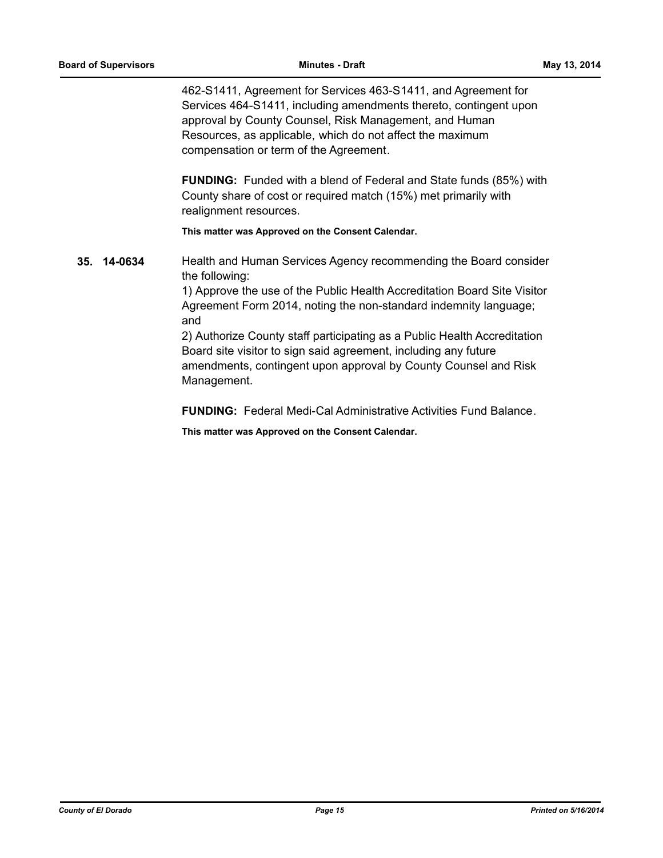462-S1411, Agreement for Services 463-S1411, and Agreement for Services 464-S1411, including amendments thereto, contingent upon approval by County Counsel, Risk Management, and Human Resources, as applicable, which do not affect the maximum compensation or term of the Agreement.

**FUNDING:** Funded with a blend of Federal and State funds (85%) with County share of cost or required match (15%) met primarily with realignment resources.

**This matter was Approved on the Consent Calendar.**

**35. 14-0634** Health and Human Services Agency recommending the Board consider the following:

> 1) Approve the use of the Public Health Accreditation Board Site Visitor Agreement Form 2014, noting the non-standard indemnity language; and

2) Authorize County staff participating as a Public Health Accreditation Board site visitor to sign said agreement, including any future amendments, contingent upon approval by County Counsel and Risk Management.

**FUNDING:** Federal Medi-Cal Administrative Activities Fund Balance.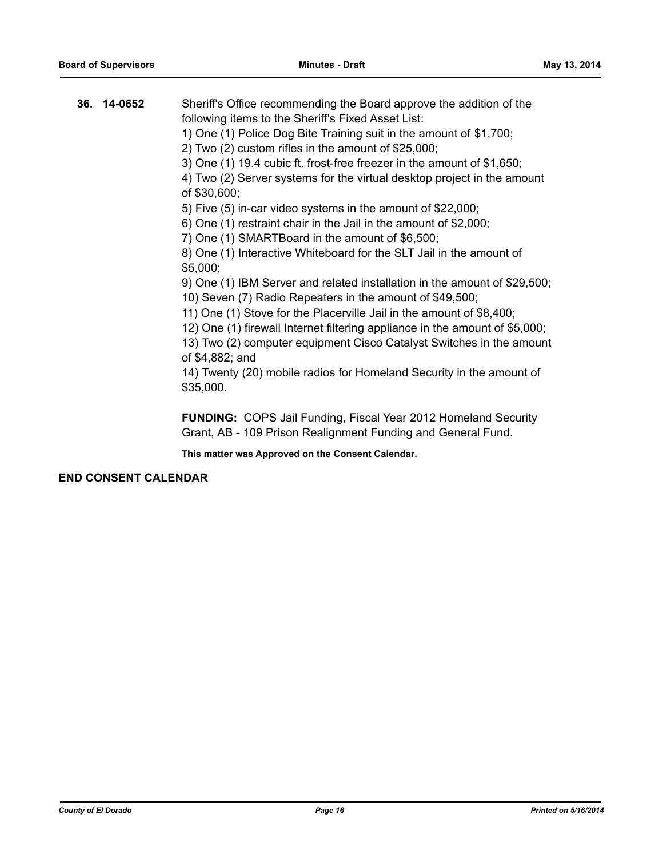| 36. 14-0652 | Sheriff's Office recommending the Board approve the addition of the<br>following items to the Sheriff's Fixed Asset List:<br>1) One (1) Police Dog Bite Training suit in the amount of \$1,700;<br>2) Two $(2)$ custom rifles in the amount of \$25,000;<br>3) One (1) 19.4 cubic ft. frost-free freezer in the amount of \$1,650;<br>4) Two (2) Server systems for the virtual desktop project in the amount<br>of \$30,600;<br>5) Five (5) in-car video systems in the amount of \$22,000;<br>6) One (1) restraint chair in the Jail in the amount of \$2,000;<br>7) One (1) SMARTBoard in the amount of \$6,500;<br>8) One (1) Interactive Whiteboard for the SLT Jail in the amount of<br>\$5,000;<br>9) One (1) IBM Server and related installation in the amount of \$29,500;<br>10) Seven (7) Radio Repeaters in the amount of \$49,500;<br>11) One (1) Stove for the Placerville Jail in the amount of \$8,400;<br>12) One (1) firewall Internet filtering appliance in the amount of \$5,000;<br>13) Two (2) computer equipment Cisco Catalyst Switches in the amount |
|-------------|--------------------------------------------------------------------------------------------------------------------------------------------------------------------------------------------------------------------------------------------------------------------------------------------------------------------------------------------------------------------------------------------------------------------------------------------------------------------------------------------------------------------------------------------------------------------------------------------------------------------------------------------------------------------------------------------------------------------------------------------------------------------------------------------------------------------------------------------------------------------------------------------------------------------------------------------------------------------------------------------------------------------------------------------------------------------------------|
|             | of \$4,882; and<br>14) Twenty (20) mobile radios for Homeland Security in the amount of<br>\$35,000.                                                                                                                                                                                                                                                                                                                                                                                                                                                                                                                                                                                                                                                                                                                                                                                                                                                                                                                                                                           |
|             | <b>FUNDING:</b> COPS Jail Funding, Fiscal Year 2012 Homeland Security                                                                                                                                                                                                                                                                                                                                                                                                                                                                                                                                                                                                                                                                                                                                                                                                                                                                                                                                                                                                          |

Grant, AB - 109 Prison Realignment Funding and General Fund.

**This matter was Approved on the Consent Calendar.**

### **END CONSENT CALENDAR**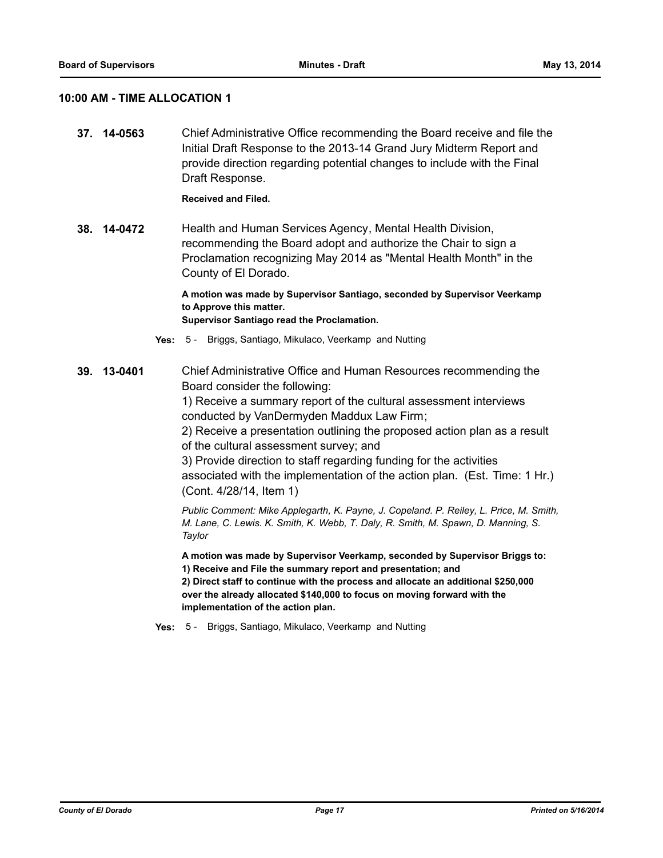### **10:00 AM - TIME ALLOCATION 1**

**37. 14-0563** Chief Administrative Office recommending the Board receive and file the Initial Draft Response to the 2013-14 Grand Jury Midterm Report and provide direction regarding potential changes to include with the Final Draft Response.

### **Received and Filed.**

**38. 14-0472** Health and Human Services Agency, Mental Health Division, recommending the Board adopt and authorize the Chair to sign a Proclamation recognizing May 2014 as "Mental Health Month" in the County of El Dorado.

> **A motion was made by Supervisor Santiago, seconded by Supervisor Veerkamp to Approve this matter.**

**Supervisor Santiago read the Proclamation.**

- **Yes:** 5 Briggs, Santiago, Mikulaco, Veerkamp and Nutting
- **39. 13-0401** Chief Administrative Office and Human Resources recommending the Board consider the following:

1) Receive a summary report of the cultural assessment interviews conducted by VanDermyden Maddux Law Firm;

2) Receive a presentation outlining the proposed action plan as a result of the cultural assessment survey; and

3) Provide direction to staff regarding funding for the activities associated with the implementation of the action plan. (Est. Time: 1 Hr.) (Cont. 4/28/14, Item 1)

*Public Comment: Mike Applegarth, K. Payne, J. Copeland. P. Reiley, L. Price, M. Smith, M. Lane, C. Lewis. K. Smith, K. Webb, T. Daly, R. Smith, M. Spawn, D. Manning, S. Taylor*

**A motion was made by Supervisor Veerkamp, seconded by Supervisor Briggs to: 1) Receive and File the summary report and presentation; and**

**2) Direct staff to continue with the process and allocate an additional \$250,000 over the already allocated \$140,000 to focus on moving forward with the implementation of the action plan.**

**Yes:** 5 - Briggs, Santiago, Mikulaco, Veerkamp and Nutting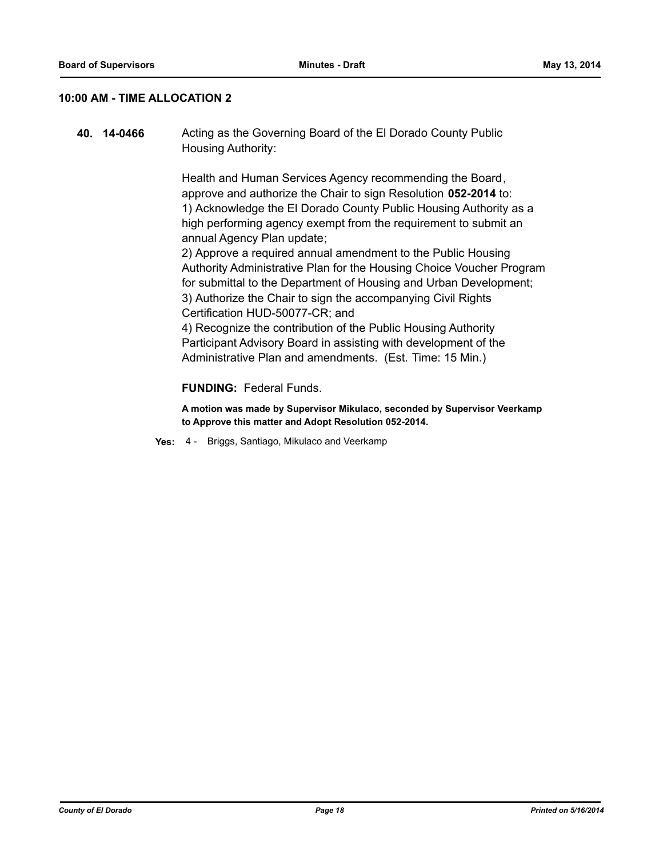### **10:00 AM - TIME ALLOCATION 2**

**40. 14-0466** Acting as the Governing Board of the El Dorado County Public Housing Authority:

> Health and Human Services Agency recommending the Board, approve and authorize the Chair to sign Resolution **052-2014** to: 1) Acknowledge the El Dorado County Public Housing Authority as a high performing agency exempt from the requirement to submit an annual Agency Plan update;

2) Approve a required annual amendment to the Public Housing Authority Administrative Plan for the Housing Choice Voucher Program for submittal to the Department of Housing and Urban Development; 3) Authorize the Chair to sign the accompanying Civil Rights Certification HUD-50077-CR; and

4) Recognize the contribution of the Public Housing Authority Participant Advisory Board in assisting with development of the Administrative Plan and amendments. (Est. Time: 15 Min.)

### **FUNDING:** Federal Funds.

**A motion was made by Supervisor Mikulaco, seconded by Supervisor Veerkamp to Approve this matter and Adopt Resolution 052-2014.**

**Yes:** 4 - Briggs, Santiago, Mikulaco and Veerkamp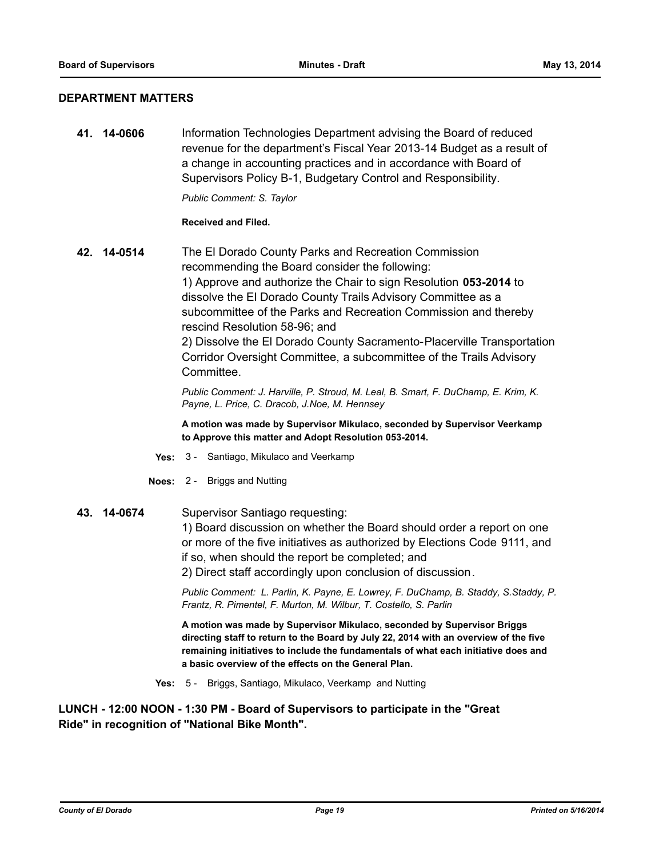### **DEPARTMENT MATTERS**

**41. 14-0606** Information Technologies Department advising the Board of reduced revenue for the department's Fiscal Year 2013-14 Budget as a result of a change in accounting practices and in accordance with Board of Supervisors Policy B-1, Budgetary Control and Responsibility.

*Public Comment: S. Taylor*

### **Received and Filed.**

**42. 14-0514** The El Dorado County Parks and Recreation Commission recommending the Board consider the following: 1) Approve and authorize the Chair to sign Resolution **053-2014** to dissolve the El Dorado County Trails Advisory Committee as a subcommittee of the Parks and Recreation Commission and thereby rescind Resolution 58-96; and 2) Dissolve the El Dorado County Sacramento-Placerville Transportation Corridor Oversight Committee, a subcommittee of the Trails Advisory Committee.

> *Public Comment: J. Harville, P. Stroud, M. Leal, B. Smart, F. DuChamp, E. Krim, K. Payne, L. Price, C. Dracob, J.Noe, M. Hennsey*

**A motion was made by Supervisor Mikulaco, seconded by Supervisor Veerkamp to Approve this matter and Adopt Resolution 053-2014.**

- **Yes:** 3 Santiago, Mikulaco and Veerkamp
- **Noes:** 2 Briggs and Nutting
- **43. 14-0674** Supervisor Santiago requesting:

1) Board discussion on whether the Board should order a report on one or more of the five initiatives as authorized by Elections Code 9111, and if so, when should the report be completed; and

2) Direct staff accordingly upon conclusion of discussion.

*Public Comment: L. Parlin, K. Payne, E. Lowrey, F. DuChamp, B. Staddy, S.Staddy, P. Frantz, R. Pimentel, F. Murton, M. Wilbur, T. Costello, S. Parlin*

**A motion was made by Supervisor Mikulaco, seconded by Supervisor Briggs directing staff to return to the Board by July 22, 2014 with an overview of the five remaining initiatives to include the fundamentals of what each initiative does and a basic overview of the effects on the General Plan.**

**Yes:** 5 - Briggs, Santiago, Mikulaco, Veerkamp and Nutting

**LUNCH - 12:00 NOON - 1:30 PM - Board of Supervisors to participate in the "Great Ride" in recognition of "National Bike Month".**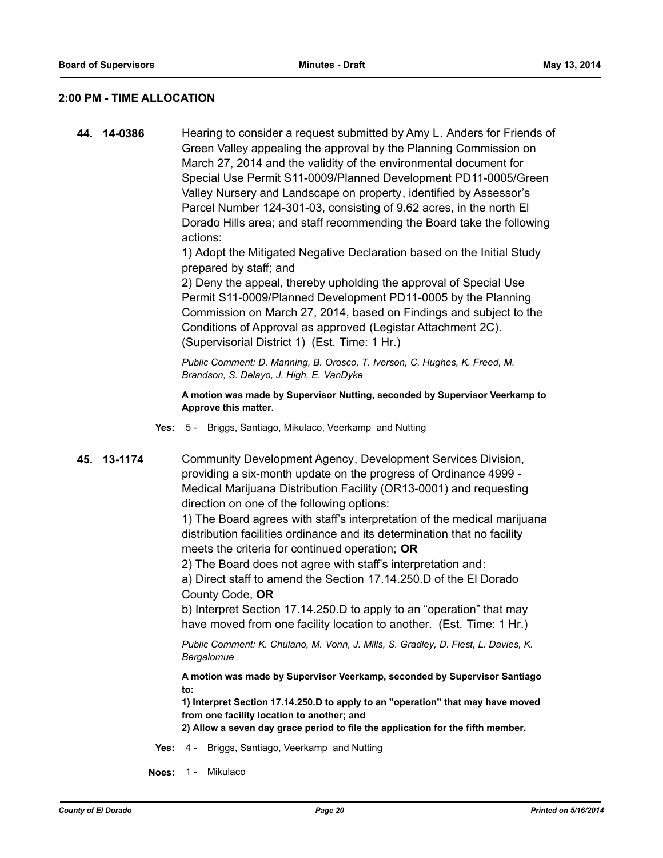### **2:00 PM - TIME ALLOCATION**

**44. 14-0386** Hearing to consider a request submitted by Amy L. Anders for Friends of Green Valley appealing the approval by the Planning Commission on March 27, 2014 and the validity of the environmental document for Special Use Permit S11-0009/Planned Development PD11-0005/Green Valley Nursery and Landscape on property, identified by Assessor's Parcel Number 124-301-03, consisting of 9.62 acres, in the north El Dorado Hills area; and staff recommending the Board take the following actions:

> 1) Adopt the Mitigated Negative Declaration based on the Initial Study prepared by staff; and

> 2) Deny the appeal, thereby upholding the approval of Special Use Permit S11-0009/Planned Development PD11-0005 by the Planning Commission on March 27, 2014, based on Findings and subject to the Conditions of Approval as approved (Legistar Attachment 2C). (Supervisorial District 1) (Est. Time: 1 Hr.)

*Public Comment: D. Manning, B. Orosco, T. Iverson, C. Hughes, K. Freed, M. Brandson, S. Delayo, J. High, E. VanDyke*

**A motion was made by Supervisor Nutting, seconded by Supervisor Veerkamp to Approve this matter.**

- **Yes:** 5 Briggs, Santiago, Mikulaco, Veerkamp and Nutting
- **45. 13-1174** Community Development Agency, Development Services Division, providing a six-month update on the progress of Ordinance 4999 - Medical Marijuana Distribution Facility (OR13-0001) and requesting direction on one of the following options:

1) The Board agrees with staff's interpretation of the medical marijuana distribution facilities ordinance and its determination that no facility meets the criteria for continued operation; **OR**

2) The Board does not agree with staff's interpretation and:

a) Direct staff to amend the Section 17.14.250.D of the El Dorado County Code, **OR**

b) Interpret Section 17.14.250.D to apply to an "operation" that may have moved from one facility location to another. (Est. Time: 1 Hr.)

*Public Comment: K. Chulano, M. Vonn, J. Mills, S. Gradley, D. Fiest, L. Davies, K. Bergalomue*

**A motion was made by Supervisor Veerkamp, seconded by Supervisor Santiago to:**

**1) Interpret Section 17.14.250.D to apply to an "operation" that may have moved from one facility location to another; and**

**2) Allow a seven day grace period to file the application for the fifth member.**

**Yes:** 4 - Briggs, Santiago, Veerkamp and Nutting

**Noes:** 1 - Mikulaco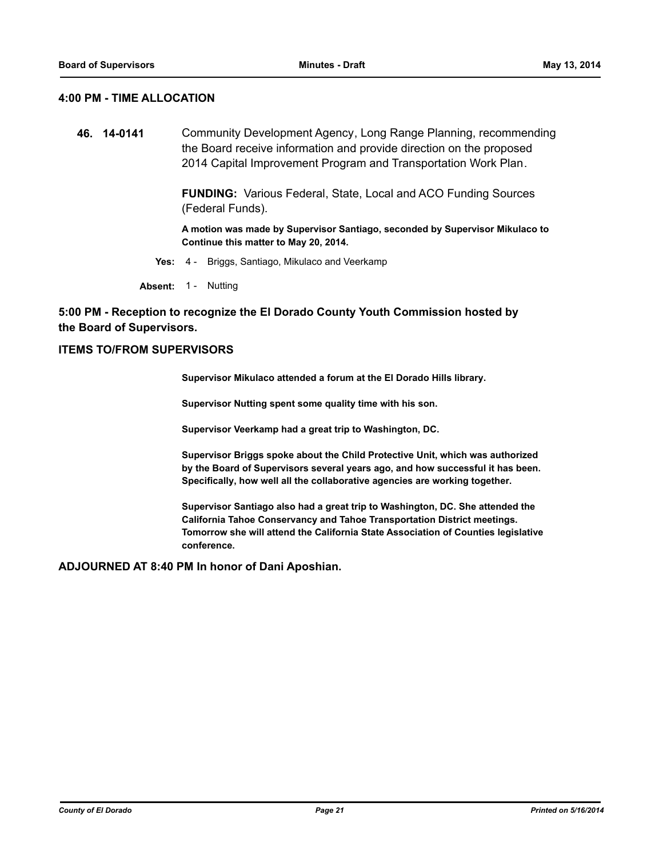### **4:00 PM - TIME ALLOCATION**

**46. 14-0141** Community Development Agency, Long Range Planning, recommending the Board receive information and provide direction on the proposed 2014 Capital Improvement Program and Transportation Work Plan.

> **FUNDING:** Various Federal, State, Local and ACO Funding Sources (Federal Funds).

**A motion was made by Supervisor Santiago, seconded by Supervisor Mikulaco to Continue this matter to May 20, 2014.**

**Yes:** 4 - Briggs, Santiago, Mikulaco and Veerkamp

**Absent:** 1 - Nutting

### **5:00 PM - Reception to recognize the El Dorado County Youth Commission hosted by the Board of Supervisors.**

### **ITEMS TO/FROM SUPERVISORS**

**Supervisor Mikulaco attended a forum at the El Dorado Hills library.** 

**Supervisor Nutting spent some quality time with his son.** 

**Supervisor Veerkamp had a great trip to Washington, DC.** 

**Supervisor Briggs spoke about the Child Protective Unit, which was authorized by the Board of Supervisors several years ago, and how successful it has been. Specifically, how well all the collaborative agencies are working together.** 

**Supervisor Santiago also had a great trip to Washington, DC. She attended the California Tahoe Conservancy and Tahoe Transportation District meetings. Tomorrow she will attend the California State Association of Counties legislative conference.**

**ADJOURNED AT 8:40 PM In honor of Dani Aposhian.**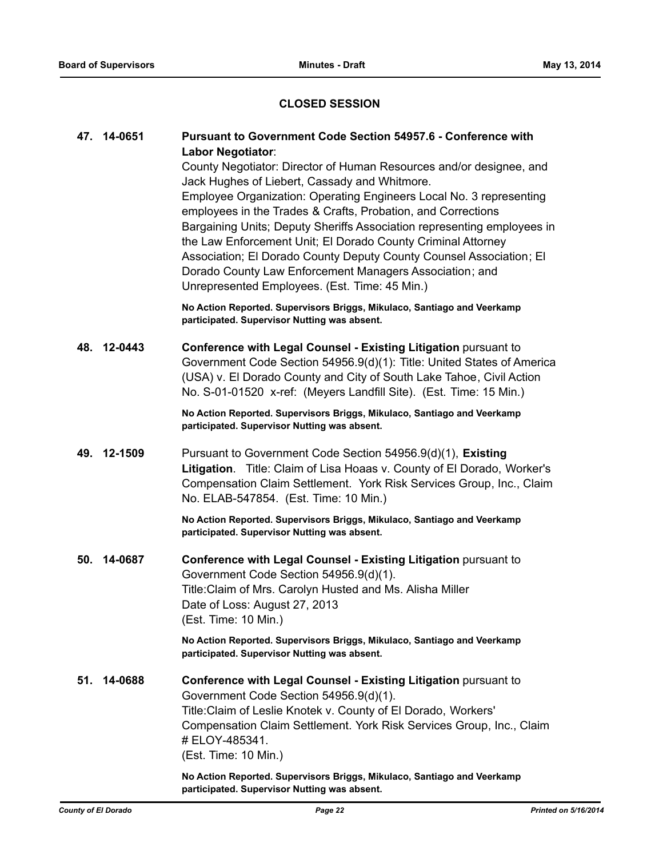### **CLOSED SESSION**

### **47. 14-0651 Pursuant to Government Code Section 54957.6 - Conference with Labor Negotiator**: County Negotiator: Director of Human Resources and/or designee, and

Jack Hughes of Liebert, Cassady and Whitmore. Employee Organization: Operating Engineers Local No. 3 representing employees in the Trades & Crafts, Probation, and Corrections Bargaining Units; Deputy Sheriffs Association representing employees in the Law Enforcement Unit; El Dorado County Criminal Attorney Association; El Dorado County Deputy County Counsel Association; El Dorado County Law Enforcement Managers Association; and Unrepresented Employees. (Est. Time: 45 Min.)

**No Action Reported. Supervisors Briggs, Mikulaco, Santiago and Veerkamp participated. Supervisor Nutting was absent.**

**48. 12-0443 Conference with Legal Counsel - Existing Litigation** pursuant to Government Code Section 54956.9(d)(1): Title: United States of America (USA) v. El Dorado County and City of South Lake Tahoe, Civil Action No. S-01-01520 x-ref: (Meyers Landfill Site). (Est. Time: 15 Min.)

> **No Action Reported. Supervisors Briggs, Mikulaco, Santiago and Veerkamp participated. Supervisor Nutting was absent.**

**49. 12-1509** Pursuant to Government Code Section 54956.9(d)(1), **Existing Litigation**. Title: Claim of Lisa Hoaas v. County of El Dorado, Worker's Compensation Claim Settlement. York Risk Services Group, Inc., Claim No. ELAB-547854. (Est. Time: 10 Min.)

> **No Action Reported. Supervisors Briggs, Mikulaco, Santiago and Veerkamp participated. Supervisor Nutting was absent.**

**50. 14-0687 Conference with Legal Counsel - Existing Litigation** pursuant to Government Code Section 54956.9(d)(1). Title:Claim of Mrs. Carolyn Husted and Ms. Alisha Miller Date of Loss: August 27, 2013 (Est. Time: 10 Min.)

> **No Action Reported. Supervisors Briggs, Mikulaco, Santiago and Veerkamp participated. Supervisor Nutting was absent.**

**51. 14-0688 Conference with Legal Counsel - Existing Litigation** pursuant to Government Code Section 54956.9(d)(1). Title:Claim of Leslie Knotek v. County of El Dorado, Workers' Compensation Claim Settlement. York Risk Services Group, Inc., Claim # ELOY-485341. (Est. Time: 10 Min.)

> **No Action Reported. Supervisors Briggs, Mikulaco, Santiago and Veerkamp participated. Supervisor Nutting was absent.**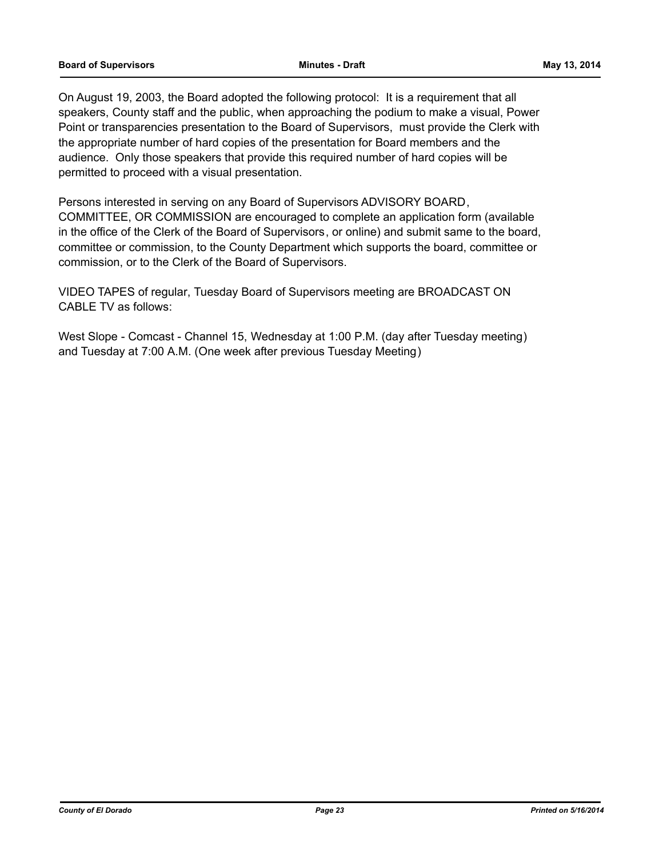On August 19, 2003, the Board adopted the following protocol: It is a requirement that all speakers, County staff and the public, when approaching the podium to make a visual, Power Point or transparencies presentation to the Board of Supervisors, must provide the Clerk with the appropriate number of hard copies of the presentation for Board members and the audience. Only those speakers that provide this required number of hard copies will be permitted to proceed with a visual presentation.

Persons interested in serving on any Board of Supervisors ADVISORY BOARD, COMMITTEE, OR COMMISSION are encouraged to complete an application form (available in the office of the Clerk of the Board of Supervisors, or online) and submit same to the board, committee or commission, to the County Department which supports the board, committee or commission, or to the Clerk of the Board of Supervisors.

VIDEO TAPES of regular, Tuesday Board of Supervisors meeting are BROADCAST ON CABLE TV as follows:

West Slope - Comcast - Channel 15, Wednesday at 1:00 P.M. (day after Tuesday meeting) and Tuesday at 7:00 A.M. (One week after previous Tuesday Meeting)